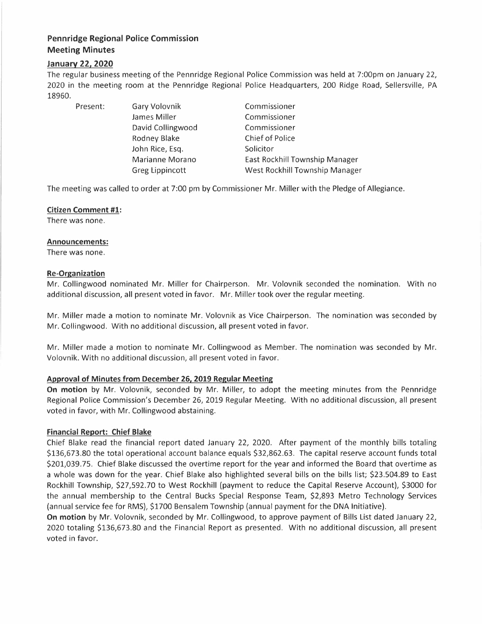# **Pennridge Regional Police Commission Meeting Minutes**

# **January 22, 2020**

The regular business meeting of the Pennridge Regional Police Commission was held at 7:00pm on January 22, 2020 in the meeting room at the Pennridge Regional Police Headquarters, 200 Ridge Road, Sellersville, PA 18960.

Present: Gary Volovnik James Miller David Collingwood Rodney Blake John Rice, Esq. Marianne Morano Greg Lippincott

Commissioner Commissioner Commissioner Chief of Police Solicitor East Rockhill Township Manager West Rockhill Township Manager

The meeting was called to order at 7:00 pm by Commissioner Mr. Miller with the Pledge of Allegiance.

#### **Citizen Comment #1:**

There was none.

#### **Announcements:**

There was none.

#### **Re-Organization**

Mr. Collingwood nominated Mr. Miller for Chairperson. Mr. Volovnik seconded the nomination. With no additional discussion, all present voted in favor. Mr. Miller took over the regular meeting.

Mr. Miller made a motion to nominate Mr. Volovnik as Vice Chairperson. The nomination was seconded by Mr. Collingwood. With no additional discussion, all present voted in favor.

Mr. Miller made a motion to nominate Mr. Collingwood as Member. The nomination was seconded by Mr. Volovnik. With no additional discussion, all present voted in favor.

## **Approval of Minutes from December 26, 2019 Regular Meeting**

**On motion** by Mr. Volovnik, seconded by Mr. Miller, to adopt the meeting minutes from the Pennridge Regional Police Commission's December 26, 2019 Regular Meeting. With no additional discussion, all present voted in favor, with Mr. Collingwood abstaining.

## **Financial Report: Chief Blake**

Chief Blake read the financial report dated January 22, 2020. After payment of the monthly bills totaling \$136,673.80 the total operational account balance equals \$32,862.63. The capital reserve account funds total \$201,039.75. Chief Blake discussed the overtime report for the year and informed the Board that overtime as a whole was down for the year. Chief Blake also highlighted several bills on the bills list; \$23.504.89 to East Rockhill Township, \$27,592.70 to West Rockhill (payment to reduce the Capital Reserve Account), \$3000 for the annual membership to the Central Bucks Special Response Team, \$2,893 Metro Technology Services (annual service fee for RMS), \$1700 Bensalem Township (annual payment for the DNA Initiative).

**On motion** by Mr. Volovnik, seconded by Mr. Collingwood, to approve payment of Bills List dated January 22, 2020 totaling \$136,673.80 and the Financial Report as presented. With no additional discussion, all present voted in favor.